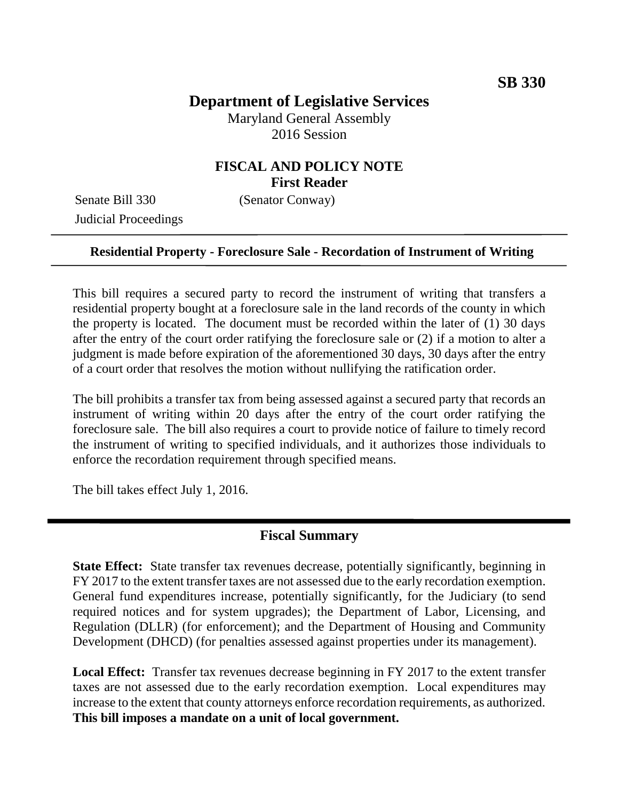# **Department of Legislative Services**

Maryland General Assembly 2016 Session

## **FISCAL AND POLICY NOTE First Reader**

Senate Bill 330 (Senator Conway) Judicial Proceedings

#### **Residential Property - Foreclosure Sale - Recordation of Instrument of Writing**

This bill requires a secured party to record the instrument of writing that transfers a residential property bought at a foreclosure sale in the land records of the county in which the property is located. The document must be recorded within the later of (1) 30 days after the entry of the court order ratifying the foreclosure sale or (2) if a motion to alter a judgment is made before expiration of the aforementioned 30 days, 30 days after the entry of a court order that resolves the motion without nullifying the ratification order.

The bill prohibits a transfer tax from being assessed against a secured party that records an instrument of writing within 20 days after the entry of the court order ratifying the foreclosure sale. The bill also requires a court to provide notice of failure to timely record the instrument of writing to specified individuals, and it authorizes those individuals to enforce the recordation requirement through specified means.

The bill takes effect July 1, 2016.

#### **Fiscal Summary**

**State Effect:** State transfer tax revenues decrease, potentially significantly, beginning in FY 2017 to the extent transfer taxes are not assessed due to the early recordation exemption. General fund expenditures increase, potentially significantly, for the Judiciary (to send required notices and for system upgrades); the Department of Labor, Licensing, and Regulation (DLLR) (for enforcement); and the Department of Housing and Community Development (DHCD) (for penalties assessed against properties under its management).

**Local Effect:** Transfer tax revenues decrease beginning in FY 2017 to the extent transfer taxes are not assessed due to the early recordation exemption. Local expenditures may increase to the extent that county attorneys enforce recordation requirements, as authorized. **This bill imposes a mandate on a unit of local government.**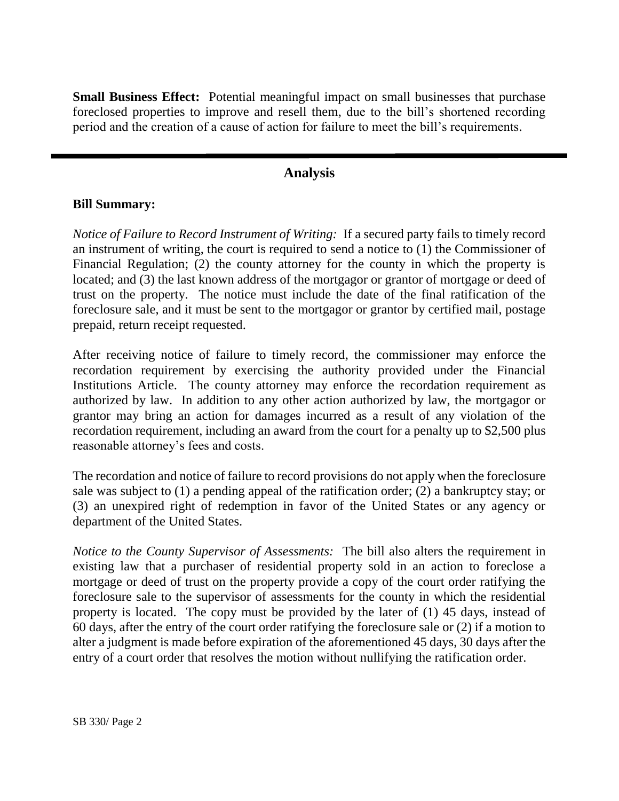**Small Business Effect:** Potential meaningful impact on small businesses that purchase foreclosed properties to improve and resell them, due to the bill's shortened recording period and the creation of a cause of action for failure to meet the bill's requirements.

### **Analysis**

#### **Bill Summary:**

*Notice of Failure to Record Instrument of Writing:* If a secured party fails to timely record an instrument of writing, the court is required to send a notice to (1) the Commissioner of Financial Regulation; (2) the county attorney for the county in which the property is located; and (3) the last known address of the mortgagor or grantor of mortgage or deed of trust on the property. The notice must include the date of the final ratification of the foreclosure sale, and it must be sent to the mortgagor or grantor by certified mail, postage prepaid, return receipt requested.

After receiving notice of failure to timely record, the commissioner may enforce the recordation requirement by exercising the authority provided under the Financial Institutions Article. The county attorney may enforce the recordation requirement as authorized by law. In addition to any other action authorized by law, the mortgagor or grantor may bring an action for damages incurred as a result of any violation of the recordation requirement, including an award from the court for a penalty up to \$2,500 plus reasonable attorney's fees and costs.

The recordation and notice of failure to record provisions do not apply when the foreclosure sale was subject to (1) a pending appeal of the ratification order; (2) a bankruptcy stay; or (3) an unexpired right of redemption in favor of the United States or any agency or department of the United States.

*Notice to the County Supervisor of Assessments:* The bill also alters the requirement in existing law that a purchaser of residential property sold in an action to foreclose a mortgage or deed of trust on the property provide a copy of the court order ratifying the foreclosure sale to the supervisor of assessments for the county in which the residential property is located. The copy must be provided by the later of (1) 45 days, instead of 60 days, after the entry of the court order ratifying the foreclosure sale or (2) if a motion to alter a judgment is made before expiration of the aforementioned 45 days, 30 days after the entry of a court order that resolves the motion without nullifying the ratification order.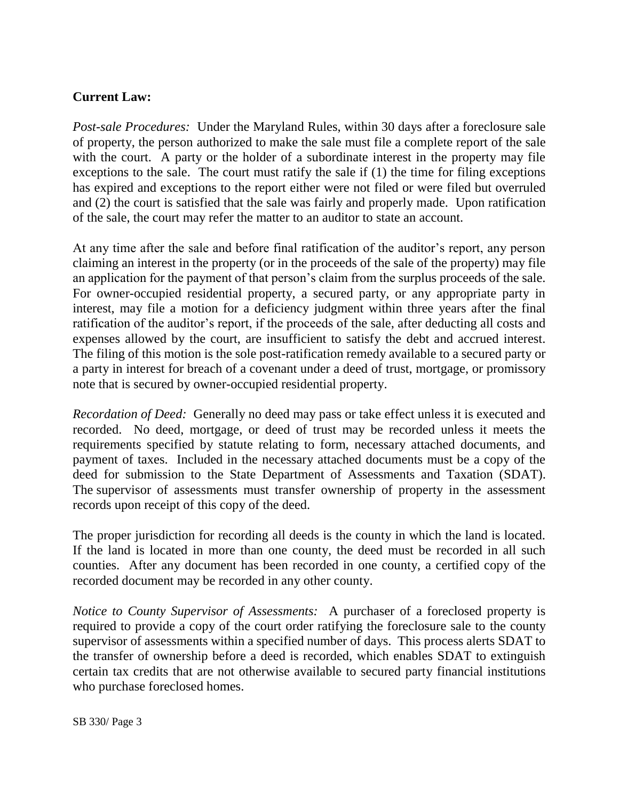## **Current Law:**

*Post-sale Procedures:* Under the Maryland Rules, within 30 days after a foreclosure sale of property, the person authorized to make the sale must file a complete report of the sale with the court. A party or the holder of a subordinate interest in the property may file exceptions to the sale. The court must ratify the sale if (1) the time for filing exceptions has expired and exceptions to the report either were not filed or were filed but overruled and (2) the court is satisfied that the sale was fairly and properly made. Upon ratification of the sale, the court may refer the matter to an auditor to state an account.

At any time after the sale and before final ratification of the auditor's report, any person claiming an interest in the property (or in the proceeds of the sale of the property) may file an application for the payment of that person's claim from the surplus proceeds of the sale. For owner-occupied residential property, a secured party, or any appropriate party in interest, may file a motion for a deficiency judgment within three years after the final ratification of the auditor's report, if the proceeds of the sale, after deducting all costs and expenses allowed by the court, are insufficient to satisfy the debt and accrued interest. The filing of this motion is the sole post-ratification remedy available to a secured party or a party in interest for breach of a covenant under a deed of trust, mortgage, or promissory note that is secured by owner-occupied residential property.

*Recordation of Deed:* Generally no deed may pass or take effect unless it is executed and recorded. No deed, mortgage, or deed of trust may be recorded unless it meets the requirements specified by statute relating to form, necessary attached documents, and payment of taxes. Included in the necessary attached documents must be a copy of the deed for submission to the State Department of Assessments and Taxation (SDAT). The supervisor of assessments must transfer ownership of property in the assessment records upon receipt of this copy of the deed.

The proper jurisdiction for recording all deeds is the county in which the land is located. If the land is located in more than one county, the deed must be recorded in all such counties. After any document has been recorded in one county, a certified copy of the recorded document may be recorded in any other county.

*Notice to County Supervisor of Assessments:* A purchaser of a foreclosed property is required to provide a copy of the court order ratifying the foreclosure sale to the county supervisor of assessments within a specified number of days. This process alerts SDAT to the transfer of ownership before a deed is recorded, which enables SDAT to extinguish certain tax credits that are not otherwise available to secured party financial institutions who purchase foreclosed homes.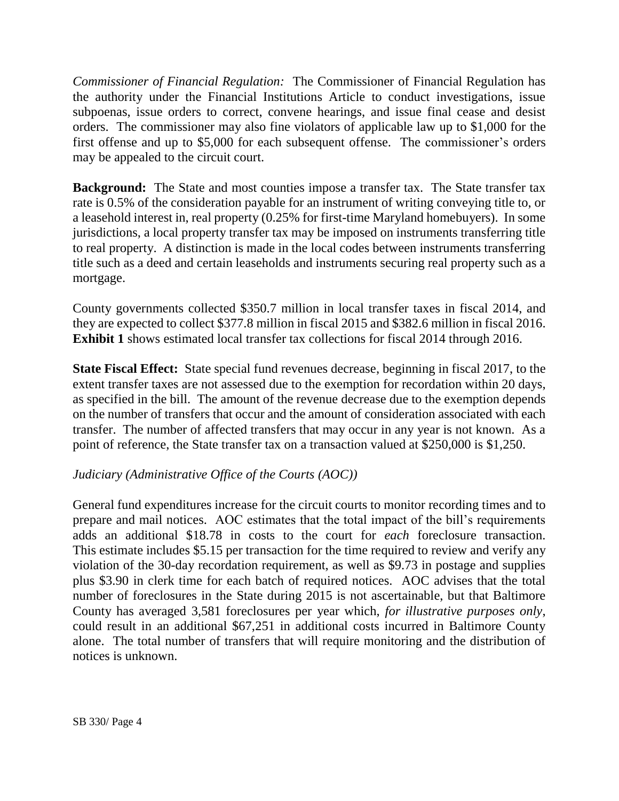*Commissioner of Financial Regulation:* The Commissioner of Financial Regulation has the authority under the Financial Institutions Article to conduct investigations, issue subpoenas, issue orders to correct, convene hearings, and issue final cease and desist orders. The commissioner may also fine violators of applicable law up to \$1,000 for the first offense and up to \$5,000 for each subsequent offense. The commissioner's orders may be appealed to the circuit court.

**Background:** The State and most counties impose a transfer tax. The State transfer tax rate is 0.5% of the consideration payable for an instrument of writing conveying title to, or a leasehold interest in, real property (0.25% for first-time Maryland homebuyers). In some jurisdictions, a local property transfer tax may be imposed on instruments transferring title to real property. A distinction is made in the local codes between instruments transferring title such as a deed and certain leaseholds and instruments securing real property such as a mortgage.

County governments collected \$350.7 million in local transfer taxes in fiscal 2014, and they are expected to collect \$377.8 million in fiscal 2015 and \$382.6 million in fiscal 2016. **Exhibit 1** shows estimated local transfer tax collections for fiscal 2014 through 2016.

**State Fiscal Effect:** State special fund revenues decrease, beginning in fiscal 2017, to the extent transfer taxes are not assessed due to the exemption for recordation within 20 days, as specified in the bill. The amount of the revenue decrease due to the exemption depends on the number of transfers that occur and the amount of consideration associated with each transfer. The number of affected transfers that may occur in any year is not known. As a point of reference, the State transfer tax on a transaction valued at \$250,000 is \$1,250.

#### *Judiciary (Administrative Office of the Courts (AOC))*

General fund expenditures increase for the circuit courts to monitor recording times and to prepare and mail notices. AOC estimates that the total impact of the bill's requirements adds an additional \$18.78 in costs to the court for *each* foreclosure transaction. This estimate includes \$5.15 per transaction for the time required to review and verify any violation of the 30-day recordation requirement, as well as \$9.73 in postage and supplies plus \$3.90 in clerk time for each batch of required notices. AOC advises that the total number of foreclosures in the State during 2015 is not ascertainable, but that Baltimore County has averaged 3,581 foreclosures per year which, *for illustrative purposes only*, could result in an additional \$67,251 in additional costs incurred in Baltimore County alone. The total number of transfers that will require monitoring and the distribution of notices is unknown.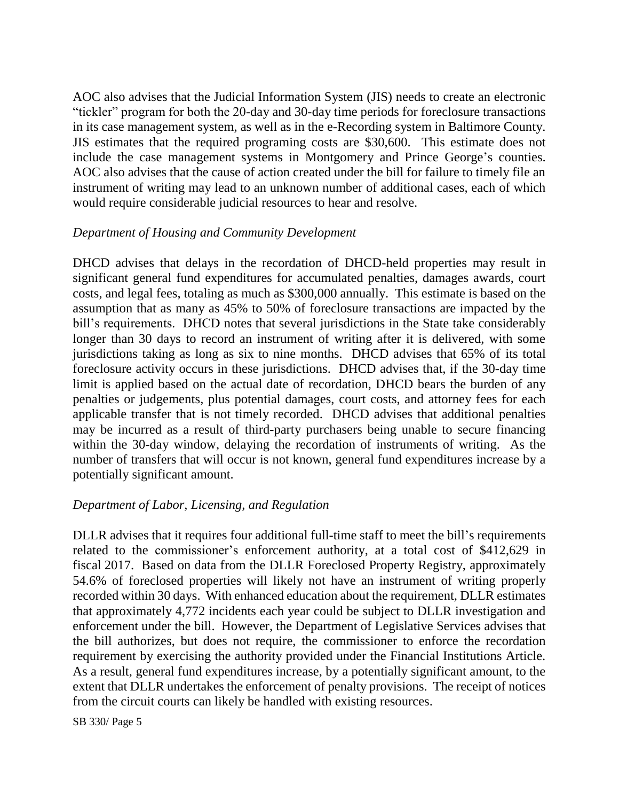AOC also advises that the Judicial Information System (JIS) needs to create an electronic "tickler" program for both the 20-day and 30-day time periods for foreclosure transactions in its case management system, as well as in the e-Recording system in Baltimore County. JIS estimates that the required programing costs are \$30,600. This estimate does not include the case management systems in Montgomery and Prince George's counties. AOC also advises that the cause of action created under the bill for failure to timely file an instrument of writing may lead to an unknown number of additional cases, each of which would require considerable judicial resources to hear and resolve.

### *Department of Housing and Community Development*

DHCD advises that delays in the recordation of DHCD-held properties may result in significant general fund expenditures for accumulated penalties, damages awards, court costs, and legal fees, totaling as much as \$300,000 annually. This estimate is based on the assumption that as many as 45% to 50% of foreclosure transactions are impacted by the bill's requirements. DHCD notes that several jurisdictions in the State take considerably longer than 30 days to record an instrument of writing after it is delivered, with some jurisdictions taking as long as six to nine months. DHCD advises that 65% of its total foreclosure activity occurs in these jurisdictions. DHCD advises that, if the 30-day time limit is applied based on the actual date of recordation, DHCD bears the burden of any penalties or judgements, plus potential damages, court costs, and attorney fees for each applicable transfer that is not timely recorded. DHCD advises that additional penalties may be incurred as a result of third-party purchasers being unable to secure financing within the 30-day window, delaying the recordation of instruments of writing. As the number of transfers that will occur is not known, general fund expenditures increase by a potentially significant amount.

## *Department of Labor, Licensing, and Regulation*

DLLR advises that it requires four additional full-time staff to meet the bill's requirements related to the commissioner's enforcement authority, at a total cost of \$412,629 in fiscal 2017. Based on data from the DLLR Foreclosed Property Registry, approximately 54.6% of foreclosed properties will likely not have an instrument of writing properly recorded within 30 days. With enhanced education about the requirement, DLLR estimates that approximately 4,772 incidents each year could be subject to DLLR investigation and enforcement under the bill. However, the Department of Legislative Services advises that the bill authorizes, but does not require, the commissioner to enforce the recordation requirement by exercising the authority provided under the Financial Institutions Article. As a result, general fund expenditures increase, by a potentially significant amount, to the extent that DLLR undertakes the enforcement of penalty provisions. The receipt of notices from the circuit courts can likely be handled with existing resources.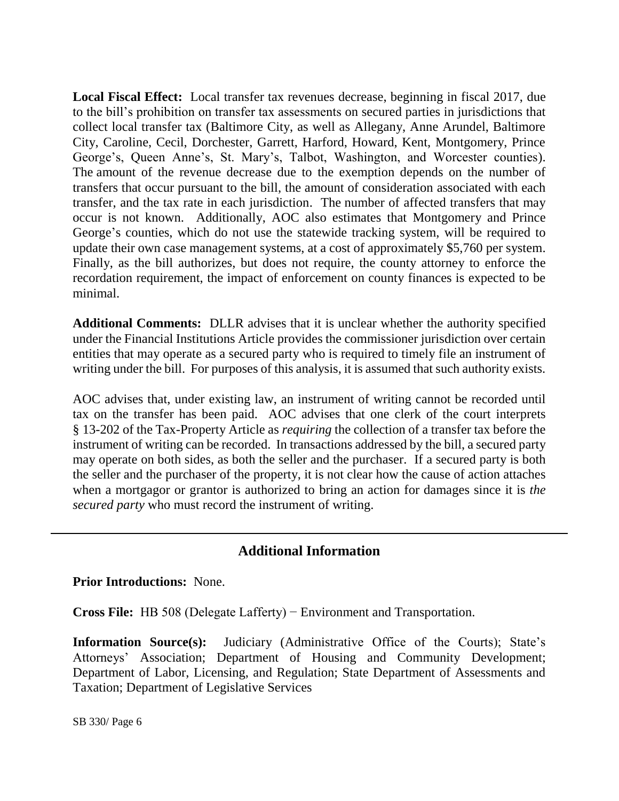**Local Fiscal Effect:** Local transfer tax revenues decrease, beginning in fiscal 2017, due to the bill's prohibition on transfer tax assessments on secured parties in jurisdictions that collect local transfer tax (Baltimore City, as well as Allegany, Anne Arundel, Baltimore City, Caroline, Cecil, Dorchester, Garrett, Harford, Howard, Kent, Montgomery, Prince George's, Queen Anne's, St. Mary's, Talbot, Washington, and Worcester counties). The amount of the revenue decrease due to the exemption depends on the number of transfers that occur pursuant to the bill, the amount of consideration associated with each transfer, and the tax rate in each jurisdiction. The number of affected transfers that may occur is not known. Additionally, AOC also estimates that Montgomery and Prince George's counties, which do not use the statewide tracking system, will be required to update their own case management systems, at a cost of approximately \$5,760 per system. Finally, as the bill authorizes, but does not require, the county attorney to enforce the recordation requirement, the impact of enforcement on county finances is expected to be minimal.

**Additional Comments:** DLLR advises that it is unclear whether the authority specified under the Financial Institutions Article provides the commissioner jurisdiction over certain entities that may operate as a secured party who is required to timely file an instrument of writing under the bill. For purposes of this analysis, it is assumed that such authority exists.

AOC advises that, under existing law, an instrument of writing cannot be recorded until tax on the transfer has been paid. AOC advises that one clerk of the court interprets § 13-202 of the Tax-Property Article as *requiring* the collection of a transfer tax before the instrument of writing can be recorded. In transactions addressed by the bill, a secured party may operate on both sides, as both the seller and the purchaser. If a secured party is both the seller and the purchaser of the property, it is not clear how the cause of action attaches when a mortgagor or grantor is authorized to bring an action for damages since it is *the secured party* who must record the instrument of writing.

## **Additional Information**

**Prior Introductions:** None.

**Cross File:** HB 508 (Delegate Lafferty) − Environment and Transportation.

**Information Source(s):** Judiciary (Administrative Office of the Courts); State's Attorneys' Association; Department of Housing and Community Development; Department of Labor, Licensing, and Regulation; State Department of Assessments and Taxation; Department of Legislative Services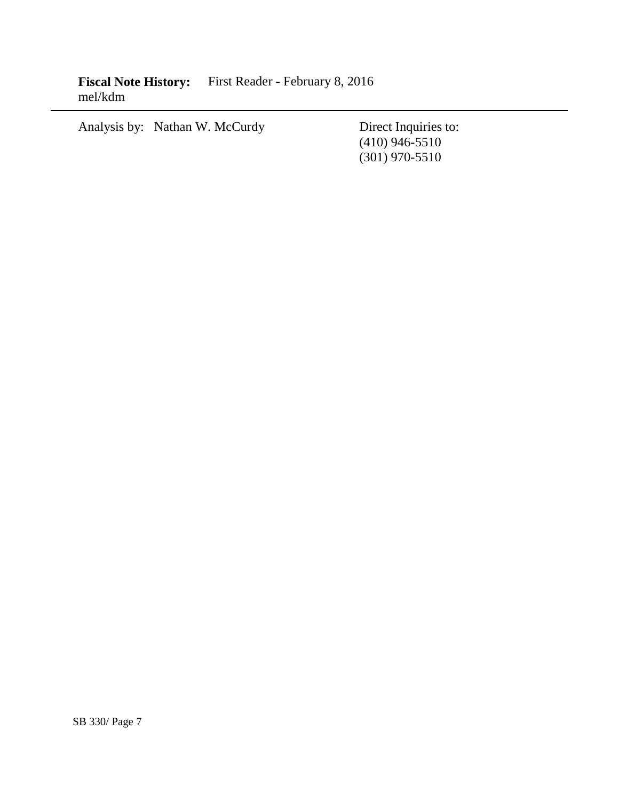Fiscal Note History: First Reader - February 8, 2016 mel/kdm

Analysis by: Nathan W. McCurdy Direct Inquiries to:

(410) 946-5510 (301) 970-5510